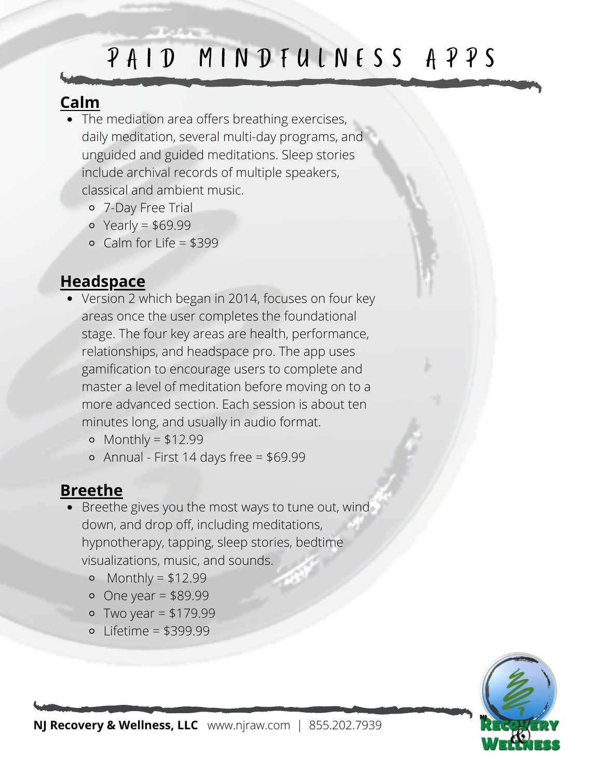# PAID MINDFULNESS APPS

### **Calm**

- The mediation area offers breathing exercises, daily meditation, several multi-day programs, and unguided and guided meditations. Sleep stories include archival records of multiple speakers, classical and ambient music.
	- 7-Day Free Trial
	- $\circ$  Yearly = \$69.99
	- $\circ$  Calm for Life = \$399

### **Headspace**

- Version 2 which began in 2014, focuses on four key areas once the user completes the foundational stage. The four key areas are health, performance, relationships, and headspace pro. The app uses gamification to encourage users to complete and master a level of meditation before moving on to a more advanced section. Each session is about ten minutes long, and usually in audio format.
	- $\circ$  Monthly = \$12.99
	- Annual First 14 days free = \$69.99

## **Breethe**

- Breethe gives you the most ways to tune out, wind down, and drop off, including meditations, hypnotherapy, tapping, sleep stories, bedtime visualizations, music, and sounds.
	- o Monthly =  $$12.99$
	- $\circ$  One year = \$89.99
	- $\circ$  Two year = \$179.99
	- Lifetime = \$399.99

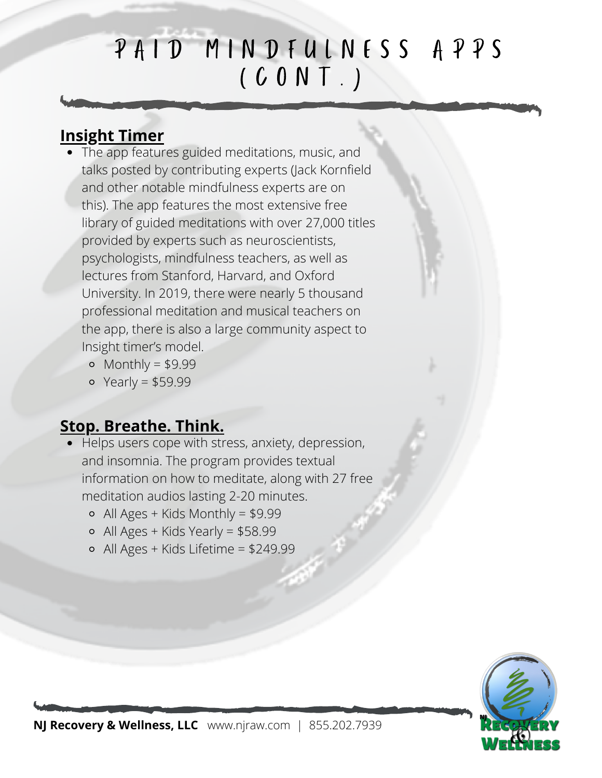# PAID MINDFULNESS APPS  $(C 0 N T)$

### **Insight Timer**

- The app features guided meditations, music, and talks posted by contributing experts (Jack Kornfield and other notable mindfulness experts are on this). The app features the most extensive free library of guided meditations with over 27,000 titles provided by experts such as neuroscientists, psychologists, mindfulness teachers, as well as lectures from Stanford, Harvard, and Oxford University. In 2019, there were nearly 5 thousand professional meditation and musical teachers on the app, there is also a large community aspect to Insight timer's model.
	- $\circ$  Monthly = \$9.99
	- $\circ$  Yearly = \$59.99

#### **Stop. Breathe. Think.**

- Helps users cope with stress, anxiety, depression, and insomnia. The program provides textual information on how to meditate, along with 27 free meditation audios lasting 2-20 minutes.
	- $\circ$  All Ages + Kids Monthly = \$9.99
	- $\circ$  All Ages + Kids Yearly = \$58.99
	- All Ages + Kids Lifetime = \$249.99



**NJ Recovery & Wellness, LLC** www.njraw.com | 855.202.7939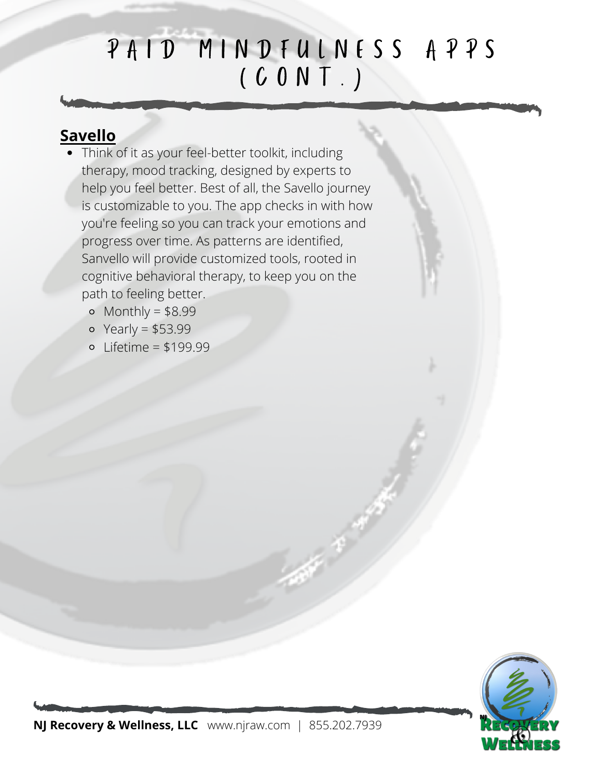# PAID MINDFULNESS APPS  $(C 0 N T)$

#### **Savello**

- Think of it as your feel-better toolkit, including therapy, mood tracking, designed by experts to help you feel better. Best of all, the Savello journey is customizable to you. The app checks in with how you're feeling so you can track your emotions and progress over time. As patterns are identified, Sanvello will provide customized tools, rooted in cognitive behavioral therapy, to keep you on the path to feeling better.
	- $\circ$  Monthly = \$8.99
	- $\circ$  Yearly = \$53.99
	- $\circ$  Lifetime = \$199.99

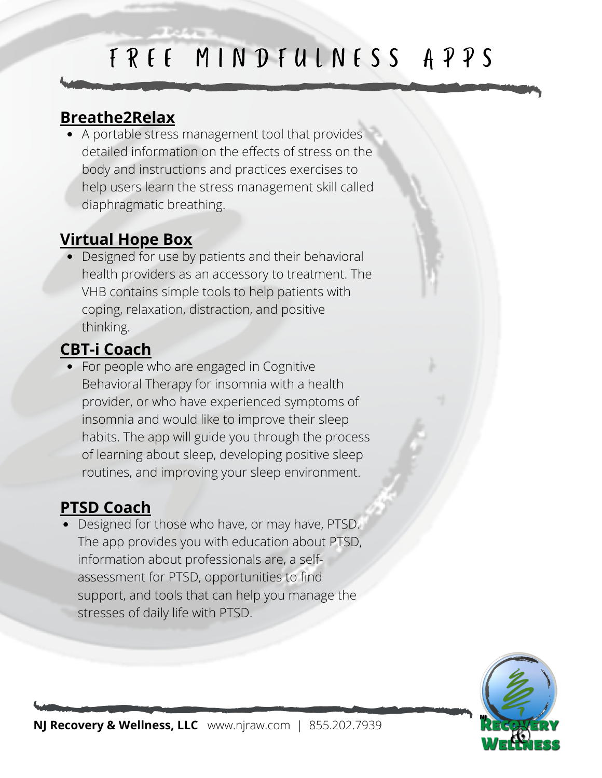# F R E E M I N D F U L N E S S A P P S

### **Breathe2Relax**

A portable stress management tool that provides detailed information on the effects of stress on the body and instructions and practices exercises to help users learn the stress management skill called diaphragmatic breathing.

## **Virtual Hope Box**

• Designed for use by patients and their behavioral health providers as an accessory to treatment. The VHB contains simple tools to help patients with coping, relaxation, distraction, and positive thinking.

## **CBT-i Coach**

• For people who are engaged in Cognitive Behavioral Therapy for insomnia with a health provider, or who have experienced symptoms of insomnia and would like to improve their sleep habits. The app will guide you through the process of learning about sleep, developing positive sleep routines, and improving your sleep environment.

### **PTSD Coach**

Designed for those who have, or may have, PTSD. The app provides you with education about PTSD, information about professionals are, a selfassessment for PTSD, opportunities to find support, and tools that can help you manage the stresses of daily life with PTSD.